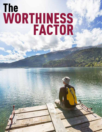# The<br>WORTHINESS<br>FACTOR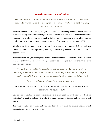# **Worthiness or the Lack of it!**

*"The most exciting, challenging and signi�icant relationship of all is the one you have with yourself. And if you can �ind someone to love the 'you' that you love, well that's just fabulous." <sup>1</sup>*

We have all been there - feeling betrayed by a friend, victimized by a boss or a lover who has treated us poorly. It is very easy for you to find someone to blame so that you come off as the innocent one, whilst looking for sympathy. But, if you look back and analyze a bit, you may realize that there is one common denominator in each situation you encounter –YOU.

We allow people to treat us the way they do. I know women who have settled for much less than they deserved and simply accepted things because deep inside they did not believe they deserved more.

Throughout our lives, we allow people to treat us the way they do. Most of us settle for things that are less than what we deserve, simply because we do not respect ourselves enough to realize that we deserve better.

*Why is it that we settle for less than what we deserve? Why do we insist on choosing someone who does not choose us back? Why is that we are so afraid to speak the truth? And why are we so concerned with what people think of us?*

*These are all classic signs of not knowing your worth.*

## So, what is self esteem? How do you define it? How do you recognize low self esteem? Let's figure it out!

Self esteem, according to most dictionaries, is a term used in psychology to reflect an individual's evaluation of their self worth. It is simply our self evaluation and our sense of self worth.

The value you place on yourself and what you think about yourself determines whether or not you are fully aware of your self-worth.

<sup>1</sup> Sex and the city 1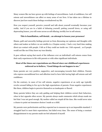Many women like me have grown up with feelings of unworthiness. Lack of confidence, low self esteem and unworthiness can affect so many areas of our lives. It has taken me a lifetime to discover just how much these feelings overshadowed my life.

How you respect yourself, perceive yourself and talk about yourself eventually becomes your reality. And if you are in a habit of debasing yourself, putting yourself down, or using self deprecating humor, you will come across as self effacing, terribly low in self esteem.

### **This is humiliation, self denial… an attempt to lessen your presence!**

Shame, guilt and unworthy feelings prevent us from discussing our opinions and thoughts with others and makes us believe we are misfits in a Utopian society. I had a very hard time making direct eye contact with people. I felt as if they could see inside me. I felt exposed… as if people would not like me if they knew my true identity.

It goes without saying that much of the influence over an individual's self esteem comes from their early experiences in life with parents or with other significant individuals.

### **Most of the times our expectations are flawed since our childhood experiences enforced us to believe, "Good things do not happen to me."**

Some parents are very positive, supportive, and encouraging towards their children. Parents who express unconditional love and affection tend to have kids having high self esteem and self confidence.

On the contrary, in cases of low self esteem, negative experiences at an early age typically revolve around failing to live up to the high expectations of parents. From negative experiences like these, children begin to perceive themselves as inadequate or flawed.

Many parents believe they are only guiding and helping their children correct their behaviors, when in fact opposite often occurs. My parents always made comments which always made me feel that I was not good enough. My mother called me stupid all the time. She would never miss a chance to point out immature choices I made as a child.

My parents were perfectionists and they expected me to measure up to an impossible standard. I struggled hard to meet their expectations, but failed every time. The sense of being a constant disappointment to my parents made me feel ashamed of myself.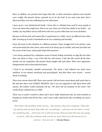Since as children, our parents loom larger than life, so their comments, opinions and remarks carry weight. My parents always expected me to be the best! It was only years later that I discovered they were also suffering from low self esteem.

I grew up in a very dysfunctional family. I know this is a blanket term used by most people to cover any issues they might have. But in my case, three out of the four adults in my family – my mother, my step father and my half sister (who was 15 years older than me) were alcoholics.

Because of all the pain and trauma that I experienced as a child, I grew up different from other kids. Growing up in such a household can be very confusing and stressful.

Every kid reacts to this situation in a different manner. Some struggle hard to be perfect, some end up becoming the class clown, some seem to be always get in trouble, and some just fade into the corner of the room, until people forget their presence.

I was always paralyzed by a ubiquitous sense of dread, feeling constantly on edge like the other shoe was about to drop. I was a kid with low self esteem, a kid who felt scared all the time. Anxiety was my companion. My parents always fought with each other. There were arguments, disagreements and at times physical abuse.

I lived in an extremely unstable environment. The abuse I had suffered was much more insidious. It was mental, emotional and psychological. And then there were secrets – secrets about everything!

There were secrets about ME! There were secrets I did not know much about until much later in life and then there were FAMILY SECRETS. And I was not supposed to talk about them with anyone. My mother would constantly tell me, "We don't tell our business in the street." Her words always confused me as a child.

There was so much I wanted to share and I never really understood why my mom insisted on keeping my mouth shut all the time. And I never really understood why everything was such a secret.

*"And that's the problem with secrets… like misery, they love company. They pile up and up and up until they take our 'everything'… until you do not have a room for anything else…. until you are so full of secrets that you feel like you are going to burst….But the problem with secrets is, even when you think you are in control… You are not."* – Shonda Rhimes